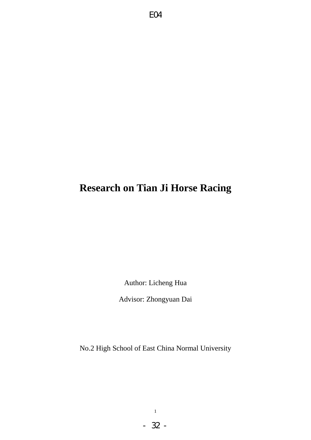# **Research on Tian Ji Horse Racing**

Author: Licheng Hua

Advisor: Zhongyuan Dai

No.2 High School of East China Normal University

- 32 -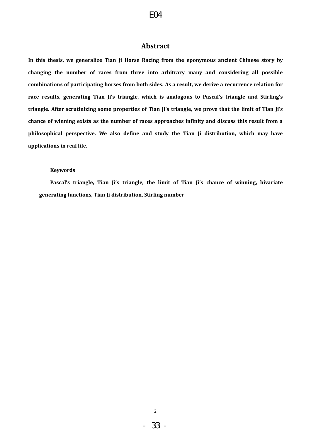# **Abstract**

**In this thesis, we generalize Tian Ji Horse Racing from the eponymous ancient Chinese story by changing the number of races from three into arbitrary many and considering all possible combinations of participating horses from both sides. As a result, we derive a recurrence relation for race results, generating Tian Ji's triangle, which is analogous to Pascal's triangle and Stirling's triangle. After scrutinizing some properties of Tian Ji's triangle, we prove that the limit of Tian Ji's chance of winning exists as the number of races approaches infinity and discuss this result from a philosophical perspective. We also define and study the Tian Ji distribution, which may have applications in real life.**

#### **Keywords**

**Pascal's triangle, Tian Ji's triangle, the limit of Tian Ji's chance of winning, bivariate generating functions, Tian Ji distribution, Stirling number**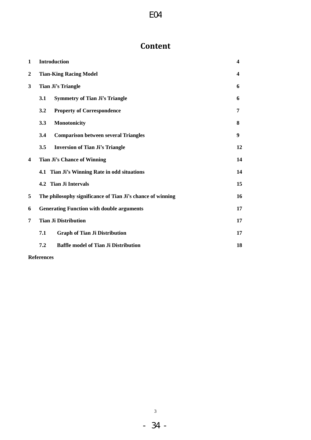# **Content**

| 1                       | <b>Introduction</b>                                        | 4  |
|-------------------------|------------------------------------------------------------|----|
| $\boldsymbol{2}$        | <b>Tian-King Racing Model</b>                              | 4  |
| 3                       | <b>Tian Ji's Triangle</b>                                  | 6  |
|                         | <b>Symmetry of Tian Ji's Triangle</b><br>3.1               | 6  |
|                         | 3.2<br><b>Property of Correspondence</b>                   | 7  |
|                         | 3.3<br>Monotonicity                                        | 8  |
|                         | 3.4<br><b>Comparison between several Triangles</b>         | 9  |
|                         | 3.5<br><b>Inversion of Tian Ji's Triangle</b>              | 12 |
| $\overline{\mathbf{4}}$ | <b>Tian Ji's Chance of Winning</b>                         | 14 |
|                         | 4.1 Tian Ji's Winning Rate in odd situations               | 14 |
|                         | 4.2 Tian Ji Intervals                                      | 15 |
| 5                       | The philosophy significance of Tian Ji's chance of winning | 16 |
| 6                       | <b>Generating Function with double arguments</b>           | 17 |
| 7                       | <b>Tian Ji Distribution</b>                                | 17 |
|                         | <b>Graph of Tian Ji Distribution</b><br>7.1                | 17 |
|                         | 7.2<br><b>Baffle model of Tian Ji Distribution</b>         | 18 |

**References**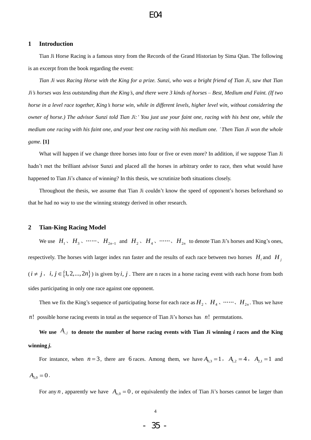#### **1 Introduction**

Tian Ji Horse Racing is a famous story from the Records of the Grand Historian by Sima Qian. The following is an excerpt from the book regarding the event:

*Tian Ji was Racing Horse with the King for a prize. Sunzi, who was a bright friend of Tian Ji, saw that Tian Ji's horses was less outstanding than the King's, and there were 3 kinds of horses – Best, Medium and Faint. (If two horse in a level race together, King's horse win, while in different levels, higher level win, without considering the owner of horse.) The advisor Sunzi told Tian Ji:' You just use your faint one, racing with his best one, while the medium one racing with his faint one, and your best one racing with his medium one. ' Then Tian Ji won the whole game.* **[1]**

What will happen if we change three horses into four or five or even more? In addition, if we suppose Tian Ji hadn't met the brilliant advisor Sunzi and placed all the horses in arbitrary order to race, then what would have happened to Tian Ji's chance of winning? In this thesis, we scrutinize both situations closely.

Throughout the thesis, we assume that Tian Ji couldn"t know the speed of opponent"s horses beforehand so that he had no way to use the winning strategy derived in other research.

#### **2 Tian-King Racing Model**

We use  $H_1, H_2, \dots, H_{2n-1}$  and  $H_2, H_4, \dots, H_{2n}$  to denote Tian Ji's horses and King's ones, respectively. The horses with larger index run faster and the results of each race between two horses  $H_i$  and  $H_j$  $(i \neq j, i, j \in \{1, 2, ..., 2n\})$  is given by *i*, *j*. There are n races in a horse racing event with each horse from both sides participating in only one race against one opponent.

Then we fix the King's sequence of participating horse for each race as  $H_2$ ,  $H_4$ , ...,  $H_{2n}$ . Thus we have *n*! possible horse racing events in total as the sequence of Tian Ji's horses has  $n!$  permutations.

We use  $A_{i,j}$  to denote the number of horse racing events with Tian Ji winning *i* races and the King **winning** *j***.**

For instance, when  $n=3$ , there are 6 races. Among them, we have  $A_{0,3} = 1$ ,  $A_{1,2} = 4$ ,  $A_{2,1} = 1$  and  $A_{3,0} = 0$ .

For any *n*, apparently we have  $A_{n,0} = 0$ , or equivalently the index of Tian Ji's horses cannot be larger than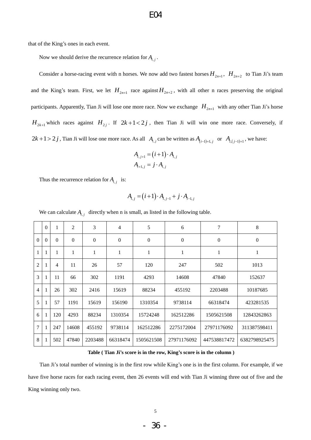that of the King"s ones in each event.

Now we should derive the recurrence relation for  $A_{i,j}$ .

Consider a horse-racing event with n horses. We now add two fastest horses  $H_{2n+1}$ ,  $H_{2n+2}$  to Tian Ji's team and the King's team. First, we let  $H_{2n+1}$  race against  $H_{2n+2}$ , with all other n races preserving the original participants. Apparently, Tian Ji will lose one more race. Now we exchange  $H_{2n+1}$  with any other Tian Ji's horse  $H_{2k+1}$  which races against  $H_{2j}$ . If  $2k+1<2j$ , then Tian Ji will win one more race. Conversely, if  $2k+1 > 2j$ , Tian Ji will lose one more race. As all  $A_{i,j}$  can be written as  $A_{(i-1)+1,j}$  or  $A_{i,(j-1)+1}$ , we have:

$$
A_{i,j+1} = (i+1) \cdot A_{i,j}
$$
  

$$
A_{i+1,j} = j \cdot A_{i,j}
$$

Thus the recurrence relation for  $A_{i,j}$  is:

$$
A_{i,j} = (i+1) \cdot A_{i,j-1} + j \cdot A_{i-1,j}
$$

We can calculate  $A_{i,j}$  directly when n is small, as listed in the following table.

|                | $\overline{0}$ | 1        | $\overline{2}$ | 3                | $\overline{4}$ | 5                | 6           | 7            | 8             |
|----------------|----------------|----------|----------------|------------------|----------------|------------------|-------------|--------------|---------------|
| $\theta$       | $\Omega$       | $\Omega$ | $\mathbf{0}$   | $\boldsymbol{0}$ | $\mathbf{0}$   | $\boldsymbol{0}$ | $\theta$    | $\mathbf{0}$ | $\mathbf{0}$  |
| $\mathbf{1}$   | 1              | 1        | 1              | 1                | $\mathbf{1}$   | $\mathbf{1}$     | 1           | 1            | 1             |
| $\overline{2}$ |                | 4        | 11             | 26               | 57             | 120              | 247         | 502          | 1013          |
| 3              |                | 11       | 66             | 302              | 1191           | 4293             | 14608       | 47840        | 152637        |
| $\overline{4}$ |                | 26       | 302            | 2416             | 15619          | 88234            | 455192      | 2203488      | 10187685      |
| 5              |                | 57       | 1191           | 15619            | 156190         | 1310354          | 9738114     | 66318474     | 423281535     |
| 6              |                | 120      | 4293           | 88234            | 1310354        | 15724248         | 162512286   | 1505621508   | 12843262863   |
| $\overline{7}$ |                | 247      | 14608          | 455192           | 9738114        | 162512286        | 2275172004  | 27971176092  | 311387598411  |
| 8              |                | 502      | 47840          | 2203488          | 66318474       | 1505621508       | 27971176092 | 447538817472 | 6382798925475 |

**Table ( Tian Ji's score is in the row, King's score is in the column )**

Tian Ji"s total number of winning is in the first row while King"s one is in the first column. For example, if we have five horse races for each racing event, then 26 events will end with Tian Ji winning three out of five and the King winning only two.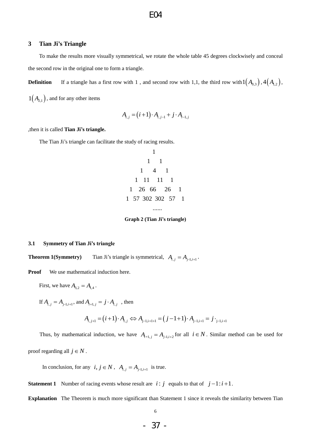#### **3 Tian Ji's Triangle**

To make the results more visually symmetrical, we rotate the whole table 45 degrees clockwisely and conceal the second row in the original one to form a triangle.

**Definition** If a triangle has a first row with 1, and second row with 1,1, the third row with  $1\left(A_{0,3}\right), 4\left(A_{1,2}\right),$ 

 $1(A_{2,1})$ , and for any other items

$$
A_{i,j} = (i+1) \cdot A_{i,j-1} + j \cdot A_{i-1,j}
$$

,then it is called **Tian Ji's triangle.**

The Tian Ji's triangle can facilitate the study of racing results.

1 1 1 1 4 1 1 11 11 1 1 26 66 26 1 1 57 302 302 57 1 ......

**Graph 2 (Tian Ji's triangle)**

#### **3.1 Symmetry of Tian Ji's triangle**

**Theorem 1(Symmetry)** Tian Ji's triangle is symmetrical,  $A_{i,j} = A_{j-1,i+1}$ .

**Proof** We use mathematical induction here.

First, we have  $A_{3,2} = A_{1,4}$ .

If  $A_{i,j} = A_{j-1,i+1}$ , and  $A_{i+1,j} = j \cdot A_{i,j}$ , then

$$
A_{i+1,j} = j \cdot A_{i,j} \text{ , then}
$$
  

$$
A_{i,j+1} = (i+1) \cdot A_{i,j} \Leftrightarrow A_{j-1,i+1+1} = (j-1+1) \cdot A_{j-1,i+1} = j \cdot_{j-1,i+1}
$$

Thus, by mathematical induction, we have  $A_{i+1,j} = A_{j-1,i+2}$  for all  $i \in N$ . Similar method can be used for proof regarding all  $j \in N$ .

In conclusion, for any  $i, j \in N$ ,  $A_{i,j} = A_{j-1,i+1}$  is true.

**Statement 1** Number of racing events whose result are  $i : j$  equals to that of  $j-1:i+1$ .

**Explanation** The Theorem is much more significant than Statement 1 since it reveals the similarity between Tian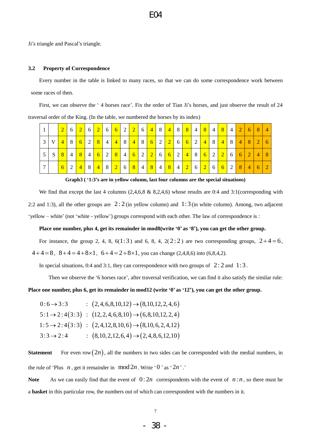Ji"s triangle and Pascal"s triangle.

#### **3.2 Property of Correspondence**

Every number in the table is linked to many races, so that we can do some correspondence work between some races of then.

First, we can observe the '4 horses race'. Fix the order of Tian Ji's horses, and just observe the result of 24 traversal order of the King. (In the table, we numbered the horses by its index)

|                |                | $\overline{2}$ | <sup>6</sup> | 2          |                | $6\vert 2 \vert$          |                 |                  | $6 \mid 6 \mid 2 \mid$ | $\begin{array}{ c c c c c } \hline 2 & 6 \end{array}$ | $\begin{array}{ c c c c c } \hline 4 & 8 \end{array}$ | $\sqrt{4}$             | 8 <sup>1</sup> | 8 <sup>1</sup>  | $\overline{4}$   | 8 <sup>°</sup>  | 4 <sup>1</sup> | 8 <sup>°</sup> | $\overline{4}$ | 2               | $6 \mid 8$     |                | $\overline{4}$ |
|----------------|----------------|----------------|--------------|------------|----------------|---------------------------|-----------------|------------------|------------------------|-------------------------------------------------------|-------------------------------------------------------|------------------------|----------------|-----------------|------------------|-----------------|----------------|----------------|----------------|-----------------|----------------|----------------|----------------|
| $\overline{3}$ | V <sub>1</sub> | 4              | 8            | $6 \mid$   | 2              | $\mathbb{R}$ $\mathbb{R}$ |                 | $4 \mid 4 \mid$  | 8 <sup>1</sup>         | 48                                                    | 6 2                                                   | $\sqrt{2}$             | $\sqrt{6}$     | $6\overline{6}$ | 2                | $\overline{4}$  | 8 <sup>1</sup> | $\sqrt{4}$     | 8              | $\vert 4 \vert$ | 8 <sup>8</sup> | 2              | 6              |
|                | S.             | 8              | $4^{\nu}$    | 8          | $\overline{4}$ |                           | $6 \mid 2 \mid$ | 8 <sup>°</sup>   | 4                      |                                                       |                                                       | $6 \mid 6 \mid 2 \mid$ |                | 4               | 8                | $6\overline{6}$ |                | 22             | 6 <sup>1</sup> | 6 <sup>1</sup>  | $\overline{2}$ | $\overline{4}$ | -8             |
|                |                | 6              | 2            | $\sqrt{4}$ | $\parallel$ 8  | $\overline{4}$            |                 | $8\vert 2 \vert$ | 6 8 4                  |                                                       | 84                                                    | 8 <sup>1</sup>         | 4              | 2               | $6\vert 2 \vert$ |                 |                | 662            |                | 8 <sup>1</sup>  | $\overline{4}$ | $\overline{6}$ |                |

**Graph3 ( '1:3's are in yellow column, last four columns are the special situations)**

We find that except the last 4 columns  $(2,4,6,8 \& 8,2,4,6)$  whose results are 0:4 and 3:1(corresponding with 2:2 and 1:3), all the other groups are  $2:2$  (in yellow column) and  $1:3$  (in white column). Among, two adjacent 'yellow – white' (not 'white - yellow') groups correspond with each other. The law of correspondence is :

#### **Place one number, plus 4, get its remainder in mod8(write '0' as '8'), you can get the other group.**

For instance, the group 2, 4, 8,  $6(1:3)$  and 6, 8, 4,  $2(2:2)$  are two corresponding groups,  $2+4=6$ ,  $4 + 4 = 8$ ,  $8 + 4 = 4 + 8 \times 1$ ,  $6 + 4 = 2 + 8 \times 1$ , you can change (2,4,8,6) into (6,8,4,2).

In special situations, 0:4 and 3:1, they can correspondence with two groups of  $2:2$  and  $1:3$ .

Then we observe the '6 horses race', after traversal verification, we can find it also satisfy the similar rule:

|                      | Place one number, plus 6, get its remainder in mod12 (write '0' as '12'), you can get the other group. |
|----------------------|--------------------------------------------------------------------------------------------------------|
|                      | $0:6 \rightarrow 3:3$ : $(2,4,6,8,10,12) \rightarrow (8,10,12,2,4,6)$                                  |
|                      | $5:1 \rightarrow 2:4(3:3)$ : $(12,2,4,6,8,10) \rightarrow (6,8,10,12,2,4)$                             |
|                      | $1:5 \rightarrow 2:4(3:3)$ : $(2,4,12,8,10,6) \rightarrow (8,10,6,2,4,12)$                             |
| $3:3\rightarrow 2:4$ | $(8,10,2,12,6,4) \rightarrow (2,4,8,6,12,10)$                                                          |
|                      |                                                                                                        |

**Statement** For even row  $(2n)$ , all the numbers in two sides can be corresponded with the medial numbers, in the rule of 'Plus  $n$ , get it remainder in  $\text{mod } 2n$ . Write '0' as '2n'.'

**Note** As we can easily find that the event of  $0:2n$  correspondents with the event of  $n:n$ , so there must be a **basket** in this particular row, the numbers out of which can correspondent with the numbers in it.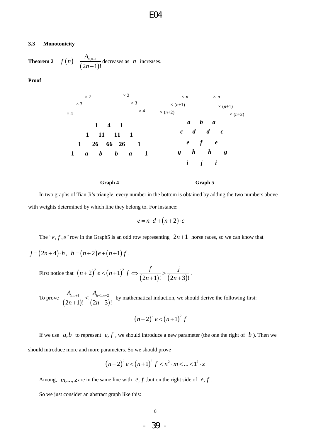#### **3.3 Monotonicity**

**Theorem 2**   $(2n+1)$  $n+1$  $(2n+1)!$  $f(n) = \frac{A_{n,n}}{a}$ *n*  $=\frac{n_{n,n+1}}{2}$  $\frac{n+1}{r+1}$  decreases as *n* increases.

**Proof** 



In two graphs of Tian Ji"s triangle, every number in the bottom is obtained by adding the two numbers above with weights determined by which line they belong to. For instance:

$$
e = n \cdot d + (n+2) \cdot c
$$

The ' $e, f, e$ ' row in the Graph5 is an odd row representing  $2n+1$  horse races, so we can know that

 $j = (2n + 4) \cdot h$ ,  $h = (n + 2)e + (n + 1)f$ .

First notice that  $(n+2)^2 e < (n+1)^2$ 2)<sup>2</sup>  $e < (n+1)^2 f \Leftrightarrow \frac{f}{(2n+1)!} > \frac{j}{(2n+3)}$  $\frac{f}{(2n+1)!} > \frac{j}{(2n+3)!}$  $f(n+1)^2 e < (n+1)^2 f \Leftrightarrow \frac{f}{(2n+1)!} > \frac{f}{(2n+1)!}$  $\frac{f}{(2n+1)!} > \frac{1}{2n}$  $f(1+2)^2 e < (n+1)^2 f \Leftrightarrow \frac{f}{(2n+1)!} > \frac{j}{(2n+1)!}$  $\frac{f}{(2n+3)!} > \frac{j}{(2n+3)!}$ . .

To prove  $(2n+1)!$   $(2n+3)$  $,_{n+1}$   $A_{n+1,n+2}$  $\sqrt{2n+1}$ !  $\sqrt{(2n+3)!}$  $A_{n,n+1}$   $A_{n+1,n}$  $\frac{n+1}{(2n)}$  $\frac{+1}{\sqrt{2}} < \frac{A_{n+1,n+2}}{2}$  $\frac{h^{n+1}}{h^{n+1}} < \frac{h^{n+1}}{(2n+3)!}$  by mathematical induction, we should derive the following first:

$$
(n+2)^2 e < (n+1)^2 f
$$

If we use  $a,b$  to represent  $e, f$ , we should introduce a new parameter (the one the right of  $b$ ). Then we should introduce more and more parameters. So we should prove

$$
(n+2)^{2} e < (n+1)^{2} f < n^{2} \cdot m < ... < 1^{2} \cdot z
$$

Among,  $m, \ldots, z$  are in the same line with  $e, f$ , but on the right side of  $e, f$ .

So we just consider an abstract graph like this: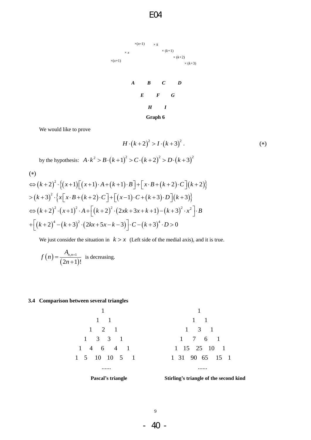



We would like to prove

$$
H \cdot (k+2)^2 > I \cdot (k+3)^2.
$$
 (\*)

by the hypothesis:  $A \cdot k^2 > B \cdot (k+1)^2 > C \cdot (k+2)^2 > D \cdot (k+3)^2$ 

$$
(*)
$$

(\*)  
\n
$$
\Leftrightarrow (k+2)^2 \cdot \{(x+1)[(x+1) \cdot A + (k+1) \cdot B] + [x \cdot B + (k+2) \cdot C](k+2)\}
$$
\n
$$
> (k+3)^2 \cdot \{x[x \cdot B + (k+2) \cdot C] + [(x-1) \cdot C + (k+3) \cdot D](k+3)\}
$$
\n
$$
\Leftrightarrow (k+2)^2 \cdot (x+1)^2 \cdot A + [(k+2)^2 \cdot (2xk+3x+k+1) - (k+3)^2 \cdot x^2] \cdot B
$$
\n
$$
+ [(k+2)^4 - (k+3)^2 \cdot (2kx+5x-k-3)] \cdot C - (k+3)^4 \cdot D > 0
$$

We just consider the situation in  $k > x$  (Left side of the medial axis), and it is true.

$$
f(n) = \frac{A_{n,n+1}}{(2n+1)!}
$$
 is decreasing.

#### **3.4 Comparison between several triangles**

1 1 1 1 2 1 1 3 3 1 1 4 6 4 1 1 5 10 10 5 1 ...... 1 7 6 1 1 31 90 65 15 1



......

 $\begin{array}{cccc} 7 & 6 & 1 \\ 15 & 25 & 10 & 1 \end{array}$ 

1 1 1 1 3 1

- 40 -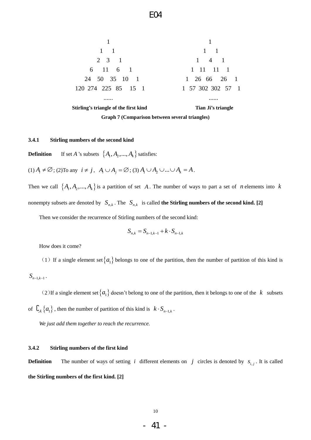

**Graph 7 (Comparison between several triangles)**

#### **3.4.1 Stirling numbers of the second kind**

**Definition** *A* 's subsets  $\{A_1, A_2, ..., A_k\}$  satisfies:

(1) 
$$
A_i \neq \emptyset
$$
; (2) To any  $i \neq j$ ,  $A_i \cup A_j = \emptyset$ ; (3)  $A_1 \cup A_2 \cup ... \cup A_k = A$ .

Then we call  $\{A_1, A_2, ..., A_k\}$  is a partition of set A. The number of ways to part a set of *n* elements into k nonempty subsets are denoted by  $S_{n,k}$ . The  $S_{n,k}$  is called the Stirling numbers of the second kind. [2]

Then we consider the recurrence of Stirling numbers of the second kind:

$$
S_{n,k} = S_{n-1,k-1} + k \cdot S_{n-1,k}
$$

How does it come?

(1) If a single element set  $\{a_1\}$  belongs to one of the partition, then the number of partition of this kind is

```
S_{n-1,k-1}.
```
(2) If a single element set  $\{a_1\}$  doesn't belong to one of the partition, then it belongs to one of the k subsets of  $\mathcal{L}_{\mathcal{A}}\left\{a_{1}\right\}$ , then the number of partition of this kind is  $k \cdot S_{n-1,k}$ .

*We just add them together to reach the recurrence.*

#### **3.4.2 Stirling numbers of the first kind**

**Definition** The number of ways of setting *i* different elements on *j* circles is denoted by  $s_{i,j}$ . It is called **the Stirling numbers of the first kind. [2]**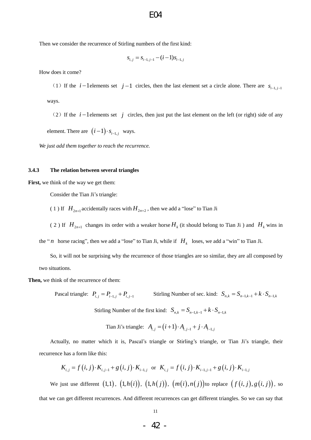Then we consider the recurrence of Stirling numbers of the first kind:

$$
s_{i,j} = s_{i-1,j-1} - (i-1)s_{i-1,j}
$$

How does it come?

(1) If the  $i-1$  elements set  $j-1$  circles, then the last element set a circle alone. There are  $s_{i-1,j-1}$ ways.

(2) If the  $i-1$  elements set  $j$  circles, then just put the last element on the left (or right) side of any element. There are  $(i-1) \cdot s_{i-1,j}$  ways.

*We just add them together to reach the recurrence.*

#### **3.4.3 The relation between several triangles**

**First,** we think of the way we get them:

Consider the Tian Ji"s triangle:

(1) If  $H_{2n+1}$  accidentally races with  $H_{2n+2}$ , then we add a "lose" to Tian Ji

(2) If  $H_{2n+1}$  changes its order with a weaker horse  $H_k$  (it should belong to Tian Ji ) and  $H_k$  wins in

the "*n* horse racing", then we add a "lose" to Tian Ji, while if  $H_k$  loses, we add a "win" to Tian Ji.

So, it will not be surprising why the recurrence of those triangles are so similar, they are all composed by two situations.

**Then,** we think of the recurrence of them:

Pascal triangle:  $P_{i,j} = P_{i-1,j} + P_{i,j-1}$  Stirling Number of sec. kind:  $S_{n,k} = S_{n-1,k-1} + k \cdot S_{n-1,k}$ 

Stirling Number of the first kind:  $S_{n,k} = S_{n-1,k-1} + k \cdot S_{n-1,k}$ 

Tian Ji's triangle:  $A_{i,j} = (i+1) \cdot A_{i,j-1} + j \cdot A_{i-1,j}$ 

Actually, no matter which it is, Pascal"s triangle or Stirling"s triangle, or Tian Ji"s triangle, their recurrence has a form like this:

$$
K_{i,j} = f(i, j) \cdot K_{i,j-1} + g(i, j) \cdot K_{i-1,j} \text{ or } K_{i,j} = f(i, j) \cdot K_{i-1,j-1} + g(i, j) \cdot K_{i-1,j}
$$

We just use different  $(1,1)$ ,  $(1,h(i))$ ,  $(1,h(j))$ ,  $(m(i),n(j))$ to replace  $(f(i,j),g(i,j))$ , so

that we can get different recurrences. And different recurrences can get different triangles. So we can say that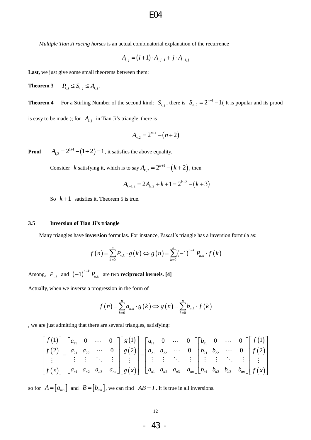*Multiple Tian Ji racing horses* is an actual combinatorial explanation of the recurrence

$$
A_{i,j} = (i+1) \cdot A_{i,j-1} + j \cdot A_{i-1,j}
$$

Last, we just give some small theorems between them:

**Theorem 3**  $P_{i,j} \leq S_{i,j} \leq A_{i,j}$ .

**Theorem 4** For a Stirling Number of the second kind:  $S_{i,j}$ , there is  $S_{n,2} = 2^{n-1} - 1$  (It is popular and its prood is easy to be made ); for  $A_{i,j}$  in Tian Ji's triangle, there is

$$
A_{n,2}=2^{n+1}-(n+2)
$$

**Proof**  $A_{1,2} = 2^{1+1} - (1+2) = 1$ , it satisfies the above equality.

Consider *k* satisfying it, which is to say  $A_{k,2} = 2^{k+1} - (k+2)$ , then

$$
A_{k+1,2} = 2A_{k,2} + k + 1 = 2^{k+2} - (k+3)
$$

So  $k+1$  satisfies it. Theorem 5 is true.

#### **3.5 Inversion of Tian Ji's triangle**

Many triangles have **inversion** formulas. For instance, Pascal"s triangle has a inversion formula as:

**version** formulas. For instance, Pascal's triangle has a inversion  

$$
f(n) = \sum_{k=0}^{n} P_{n,k} \cdot g(k) \Leftrightarrow g(n) = \sum_{k=0}^{n} (-1)^{n-k} P_{n,k} \cdot f(k)
$$

Among,  $P_{n,k}$  and  $\left(-1\right)^{n-k} P_{n,k}$  are two **reciprocal kernels.** [4]

Actually, when we inverse a progression in the form of

gression in the form of  
\n
$$
f(n) = \sum_{k=0}^{n} a_{n,k} \cdot g(k) \Leftrightarrow g(n) = \sum_{k=0}^{n} b_{n,k} \cdot f(k)
$$

, we are just admitting that there are several triangles, satisfying:

$$
\begin{bmatrix} f(1) \\ f(2) \\ \vdots \\ f(x) \end{bmatrix} = \begin{bmatrix} a_{11} & 0 & \cdots & 0 \\ a_{21} & a_{22} & \cdots & 0 \\ \vdots & \vdots & \ddots & \vdots \\ a_{n1} & a_{n2} & a_{n3} & a_{nn} \end{bmatrix} \begin{bmatrix} g(1) \\ g(2) \\ \vdots \\ g(x) \end{bmatrix} = \begin{bmatrix} a_{11} & 0 & \cdots & 0 \\ a_{21} & a_{22} & \cdots & 0 \\ \vdots & \vdots & \ddots & \vdots \\ a_{n1} & a_{n2} & a_{n3} & a_{nn} \end{bmatrix} \begin{bmatrix} b_{11} & 0 & \cdots & 0 \\ b_{21} & b_{22} & \cdots & 0 \\ \vdots & \vdots & \ddots & \vdots \\ b_{n1} & b_{n2} & b_{n3} & b_{nn} \end{bmatrix} \begin{bmatrix} f(1) \\ f(2) \\ \vdots \\ f(x) \end{bmatrix}
$$

so for  $A = [a_{mn}]$  and  $B = [b_{mn}]$ , we can find  $AB = I$ . It is true in all inversions.

$$
-43 -
$$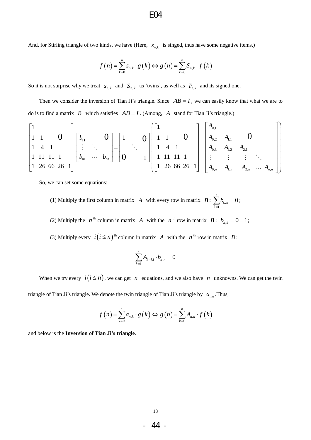And, for Stirling triangle of two kinds, we have (Here, 
$$
s_{n,k}
$$
 is singed, thus have some negative items.)  
\n
$$
f(n) = \sum_{k=0}^{n} s_{n,k} \cdot g(k) \Leftrightarrow g(n) = \sum_{k=0}^{n} S_{n,k} \cdot f(k)
$$

So it is not surprise why we treat  $s_{n,k}$  and  $S_{n,k}$  as 'twins', as well as  $P_{n,k}$  and its signed one.

Then we consider the inversion of Tian Ji's triangle. Since  $AB = I$ , we can easily know that what we are to

do is to find a matrix *B* which satisfies 
$$
AB = I
$$
. (Among, *A* stand for Tian Ji's triangle.)  
\n
$$
\begin{bmatrix}\n1 & 0 & 0 \\
1 & 1 & 0 & 0 \\
1 & 4 & 1 & 0 \\
1 & 11 & 11 & 1 \\
1 & 26 & 66 & 26 & 1\n\end{bmatrix}\n\begin{bmatrix}\nb_{11} & 0 & 0 \\
\vdots & \ddots & 0 & 0 \\
b_{n1} & \cdots & b_{nn}\n\end{bmatrix}\n=\n\begin{bmatrix}\n1 & 0 & 0 \\
0 & 1 & 0 \\
0 & 1 & 1\n\end{bmatrix}\n\begin{bmatrix}\n1 & 0 & 0 \\
1 & 1 & 0 & 0 \\
1 & 1 & 1 & 1 \\
1 & 1 & 1 & 1 \\
1 & 1 & 1 & 1\n\end{bmatrix}\n=\n\begin{bmatrix}\nA_{0,1} & & & & & \\
A_{0,2} & A_{1,1} & 0 & & & \\
A_{0,3} & A_{1,2} & A_{2,1} & & \\
\vdots & \vdots & \vdots & \ddots & \\
A_{0,n} & A_{1,n} & A_{2,n} & \cdots & A_{n,n}\n\end{bmatrix}
$$

So, we can set some equations:

(1) Multiply the first column in matrix A with every row in matrix  $B: \sum b_k$ , 1  $\sum_{k=0}^{n} b_{k} = 0$ *k n k b*  $\sum_{k=1}^{n} b_{k,n} = 0;$ 

(2) Multiply the *n*<sup>th</sup> column in matrix *A* with the *n*<sup>th</sup> row in matrix *B*:  $b_{k,k} = 0 = 1$ ;

(3) Multiply every  $i(i \leq n)$ <sup>th</sup> column in matrix A with the  $n^{th}$  row in matrix B:

$$
\sum_{k=1}^n A_{k-i,i}\cdot b_{k,n}=0
$$

When we try every  $i(i \leq n)$ , we can get n equations, and we also have n unknowns. We can get the twin

triangle of Tian Ji's triangle. We denote the twin triangle of Tian Ji's triangle by 
$$
a_{mn}
$$
. Thus,  

$$
f(n) = \sum_{k=0}^{n} a_{n,k} \cdot g(k) \Leftrightarrow g(n) = \sum_{k=0}^{n} A_{n,k} \cdot f(k)
$$

and below is the **Inversion of Tian Ji's triangle**.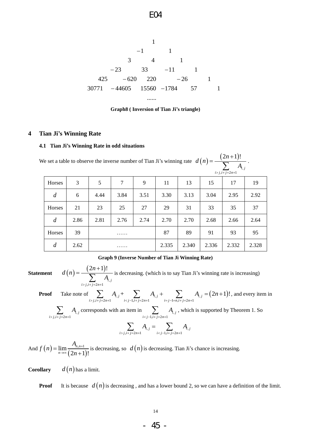E04

1 1 1 3 4 1 23 33 11 1 425 620 220 26 1 30771 44605 15560 1784 57 1 ...... 

#### **Graph8 ( Inversion of Tian Ji's triangle)**

#### **4 Tian Ji's Winning Rate**

#### **4.1 Tian Ji's Winning Rate in odd situations**

We set a table to observe the inverse number of Tian Ji's winning rate  $d(n)$  $(2n+1)$  $\sum_{i+j=2n+1}^{I_{\mathbf{1}}}$  $(2n+1)!$ *i j*  $i > j, i+j=2n$  $d(n) = \frac{(2n)}{n}$ *A*  $> j, i + j = 2n+1$  $\overline{+}$  $=\frac{(-2n+1)!}{\sum A_{i,j}}$ .

| Horses         | 3    | 5    | 7    | 9    | 11    | 13    | 15    | 17    | 19    |
|----------------|------|------|------|------|-------|-------|-------|-------|-------|
| $\overline{d}$ | 6    | 4.44 | 3.84 | 3.51 | 3.30  | 3.13  | 3.04  | 2.95  | 2.92  |
| Horses         | 21   | 23   | 25   | 27   | 29    | 31    | 33    | 35    | 37    |
| $\overline{d}$ | 2.86 | 2.81 | 2.76 | 2.74 | 2.70  | 2.70  | 2.68  | 2.66  | 2.64  |
| Horses         | 39   |      | .    |      | 87    | 89    | 91    | 93    | 95    |
| $\overline{d}$ | 2.62 |      | .    |      | 2.335 | 2.340 | 2.336 | 2.332 | 2.328 |

#### **Graph 9 (Inverse Number of Tian Ji Winning Rate)**

**Statement**

 $(2n+1)$  $\sum_{i+j=2n+1}^{I}$  $(2n+1)!$ *i j*  $i > j, i + j = 2n$  $d(n) = \frac{(2n)}{n}$ *A*  $> j, i + j = 2n + 1$  $\ddot{}$  $=\frac{(2n+1)!}{\sum_{i>j,i+j=2n+1} A_{i,j}}$  is decreasing. (which is to say Tian Ji's winning rate is increasing)<br>ote of  $\sum_{i>j,i+j=2n+1} A_{i,j} + \sum_{i, and every it$ 

**Proof** Take note of  $\sum_{i,j=1}^n A_{i,j} + \sum_{i,j=1}^n A_{i,j} + \sum_{i,j=1}^n A_{i,j} = (2n+1)$  $\sum_{\substack{i+j=2n+1 \ i>j,i+j=2n+1}} A_{i,j} + \sum_{\substack{i < j-1,i+j=2n+1 \ i>j-1}} A_{i,j} + \sum_{\substack{i=j-1=n,i+j=2n+1 \ i>j}} A_{i,j} = (2n+1)!$ , and every item in

$$
\sum_{i>j,i+j=2n+1} A_{i,j}
$$
 corresponds with an item in 
$$
\sum_{i, which is supported by Theorem 1. So
$$

$$
\sum_{i > j, i+j=2n+1} A_{i,j} = \sum_{i < j-1, i+j=2n+1} A_{i,j}
$$

And  $f(n)$  $(2n+1)$  $\lim \frac{A_{n,n+1}}{2}$  $\frac{2n+1}{2}$ ! *n n n*  $f(n) = \lim \frac{A_n}{a_n}$ *n*  $^{+}$  $=\lim_{n\to\infty}$  $\frac{n+1}{(n+1)!}$  is decreasing, so  $d(n)$  is decreasing. Tian Ji's chance is increasing.

**Corollary**  $d(n)$  has a limit.

 $(n)$ 

**Proof** It is because  $d(n)$  is decreasing, and has a lower bound 2, so we can have a definition of the limit.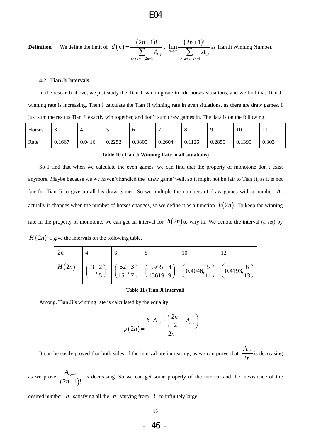**Definition** We define the limit of 
$$
d(n) = \frac{(2n+1)!}{\sum_{i>j,i+j=2n+1} A_{i,j}}
$$
,  $\lim_{n\to\infty} \frac{(2n+1)!}{\sum_{i>j,i+j=2n+1} A_{i,j}}$  as Tian Ji Winning Number.

#### **4.2 Tian Ji Intervals**

In the research above, we just study the Tian Ji winning rate in odd horses situations, and we find that Tian Ji winning rate is increasing. Then I calculate the Tian Ji winning rate in even situations, as there are draw games, I just sum the results Tian Ji exactly win together, and don"t sum draw games in. The data is on the following.

| Horses | ◡      |        |        | ╰      |        | O      |        | 10     | . .   |
|--------|--------|--------|--------|--------|--------|--------|--------|--------|-------|
| Rate   | 0.1667 | 0.0416 | 0.2252 | 0.0805 | 0.2604 | 0.1126 | 0.2850 | 0.1390 | 0.303 |

#### **Table 10 (Tian Ji Winning Rate in all situations)**

So I find that when we calculate the even games, we can find that the property of monotone don"t exist anymore. Maybe because we we haven"t handled the "draw game" well, so it might not be fair to Tian Ji, as it is not fair for Tian Ji to give up all his draw games. So we multiple the numbers of draw games with a number  $h$ , actually it changes when the number of horses changes, so we define it as a function  $h(2n)$ . To keep the winning rate in the property of monotone, we can get an interval for  $h(2n)$  to vary in. We denote the interval (a set) by  $H(2n)$  I give the intervals on the following table.

|       |                                         |                                                                                                                   | 10                                  |                                    |
|-------|-----------------------------------------|-------------------------------------------------------------------------------------------------------------------|-------------------------------------|------------------------------------|
| H(2n) | $\left(\frac{3}{11},\frac{2}{5}\right)$ | $\left[\left(\frac{52}{151}, \frac{3}{7}\right) \left[\left(\frac{5955}{15619}, \frac{4}{9}\right)\right]\right]$ | $\left(0.4046, \frac{5}{11}\right)$ | $\left(0.4193,\frac{6}{12}\right)$ |

#### **Table 11 (Tian Ji Interval)**

Among, Tian Ji"s winning rate is calculated by the equality

$$
p(2n) = \frac{h \cdot A_{n,n} + \left(\frac{2n!}{2} - A_{n,n}\right)}{2n!}
$$

It can be easily proved that both sides of the interval are increasing, as we can prove that  $\frac{A_{n}}{2}$  $2n!$  $A_{n,n}$ *n* is decreasing

as we prove  $(2n+1)$  $,n+1$  $(2n+1)!$  $A$ <sub>*n,n*</sub> *n*  $^{+}$  $\frac{n^{n+1}}{n+1}$  is decreasing. So we can get some property of the interval and the inexistence of the

desired number  $h$  satisfying all the  $n$  varying from  $3$  to infinitely large.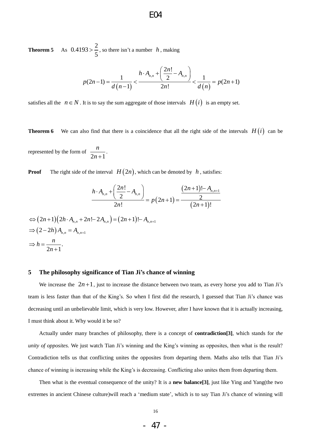**Theorem 5** As  $0.4193 > \frac{2}{5}$ 5  $> \frac{2}{5}$ , so there isn't a number *h*, making<br> $h \cdot A_{n,n} + \left(\frac{2n!}{2}\right)$ 

$$
p(2n-1) = \frac{1}{d(n-1)} < \frac{h \cdot A_{n,n} + \left(\frac{2n!}{2} - A_{n,n}\right)}{2n!} < \frac{1}{d(n)} = p(2n+1)
$$

satisfies all the  $n \in N$ . It is to say the sum aggregate of those intervals  $H(i)$  is an empty set.

**Theorem 6** We can also find that there is a coincidence that all the right side of the intervals  $H(i)$  can be

represented by the form of  $2n + 1$ *n*  $\frac{n}{n+1}$ .

**Proof** The right side of the interval 
$$
H(2n)
$$
, which can be denoted by  $h$ , satisfies:  
\n
$$
\frac{h \cdot A_{n,n} + \left(\frac{2n!}{2} - A_{n,n}\right)}{2n!} = p(2n+1) = \frac{(2n+1)! - A_{n,n+1}}{(2n+1)!}
$$

$$
2n!
$$
  
\n
$$
\Leftrightarrow (2n+1)(2h \cdot A_{n,n} + 2n! - 2A_{n,n}) = (2n+1)! - A_{n,n+1}
$$
  
\n
$$
\Rightarrow (2-2h)A_{n,n} = A_{n,n+1}
$$
  
\n
$$
\Rightarrow h = \frac{n}{2n+1}.
$$

#### **5 The philosophy significance of Tian Ji's chance of winning**

We increase the  $2n+1$ , just to increase the distance between two team, as every horse you add to Tian Ji's team is less faster than that of the King"s. So when I first did the research, I guessed that Tian Ji"s chance was decreasing until an unbelievable limit, which is very low. However, after I have known that it is actually increasing, I must think about it. Why would it be so?

Actually under many branches of philosophy, there is a concept of **contradiction[3]**, which stands for *the unity of opposites.* We just watch Tian Ji's winning and the King's winning as opposites, then what is the result? Contradiction tells us that conflicting unites the opposites from departing them. Maths also tells that Tian Ji"s chance of winning is increasing while the King"s is decreasing. Conflicting also unites them from departing them.

Then what is the eventual consequence of the unity? It is a **new balance[3]**, just like Ying and Yang(the two extremes in ancient Chinese culture)will reach a 'medium state', which is to say Tian Ji's chance of winning will

$$
-47 -
$$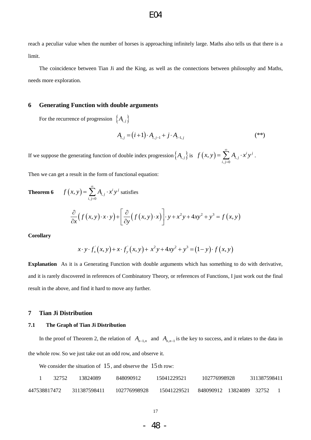reach a peculiar value when the number of horses is approaching infinitely large. Maths also tells us that there is a limit.

The coincidence between Tian Ji and the King, as well as the connections between philosophy and Maths, needs more exploration.

#### **6 Generating Function with double arguments**

For the recurrence of progression  $\{A_{i,j}\}\$ 

$$
\begin{aligned} \left\{ A_{i,j} \right\} \\ A_{i,j} &= (i+1) \cdot A_{i,j-1} + j \cdot A_{i-1,j} \end{aligned} \tag{**}
$$

If we suppose the generating function of double index progression  $\{A_{i,j}\}\$ is  $f(x, y) = \sum A_{i,j}$  $\sum_{j=0}$  $(x, y) = \sum_{i=1}^{\infty} A_{i,i} \cdot x^{i} y^{j}$ *i j*  $\sum_{i,j}$  $f(x, y) = \sum_{i=1}^{\infty} A_{i, j} \cdot x^{i} y$  $=\sum_{i,j=0}^{\infty} A_{i,j} \cdot x^i y^j$ .

Then we can get a result in the form of functional equation:

**Theorem 6** 
$$
f(x, y) = \sum_{i,j=0}^{\infty} A_{i,j} \cdot x^i y^j
$$
 satisfies  

$$
\frac{\partial}{\partial x} (f(x, y) \cdot x \cdot y) + \left[ \frac{\partial}{\partial y} (f(x, y) \cdot x) \right] \cdot y + x^2 y + 4xy^2 + y^3 = f(x, y)
$$

**Corollary** 

$$
x \cdot y \cdot f_x(x, y) + x \cdot f_y(x, y) + x^2 y + 4xy^2 + y^3 = (1 - y) \cdot f(x, y)
$$

**Explanation** As it is a Generating Function with double arguments which has something to do with derivative, and it is rarely discovered in references of Combinatory Theory, or references of Functions, I just work out the final result in the above, and find it hard to move any further.

### **7 Tian Ji Distribution**

#### **7.1 The Graph of Tian Ji Distribution**

In the proof of Theorem 2, the relation of  $A_{n-1,n}$  and  $A_{n,n-1}$  is the key to success, and it relates to the data in the whole row. So we just take out an odd row, and observe it.

We consider the situation of  $15$ , and observe the  $15$  th row:

|              | 32752 | 13824089     | 848090912    | 15041229521 | 102776998928             | 311387598411 |  |
|--------------|-------|--------------|--------------|-------------|--------------------------|--------------|--|
| 447538817472 |       | 311387598411 | 102776998928 | 15041229521 | 848090912 13824089 32752 |              |  |

17

- 48 -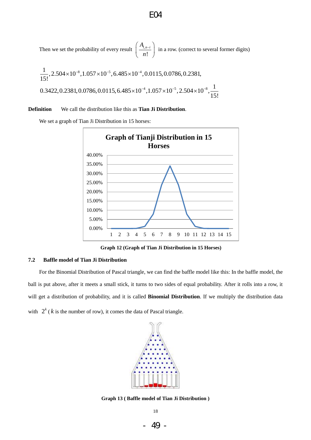Then we set the probability of every result  $\int_0^1 \frac{f(x)}{x^2}$ !  $A_{i, n-i}$ *n*  $\left(A_{i,n-i}\right)$  $\left(\frac{-\gamma_{n}n-1}{n!}\right)$  in a row. (correct to several former digits)

E04

8 5 4 4 5 8 1 ,2.504 10 ,1.057 10 ,6.485 10 ,0.0115,0.0786,0.2381, 15! 1 0.3422,0.2381,0.0786,0.0115,6.485 10 ,1.057 10 ,2.504 10 , 15! 

### **Definition** We call the distribution like this as **Tian Ji Distribution**.

We set a graph of Tian Ji Distribution in 15 horses:



**Graph 12 (Graph of Tian Ji Distribution in 15 Horses)**

#### **7.2 Baffle model of Tian Ji Distribution**

For the Binomial Distribution of Pascal triangle, we can find the baffle model like this: In the baffle model, the ball is put above, after it meets a small stick, it turns to two sides of equal probability. After it rolls into a row, it will get a distribution of probability, and it is called **Binomial Distribution**. If we multiply the distribution data with  $2^{k}$  ( $k$  is the number of row), it comes the data of Pascal triangle.



**Graph 13 ( Baffle model of Tian Ji Distribution )**

- 49 -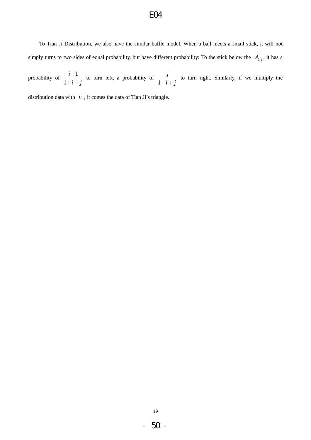To Tian Ji Distribution, we also have the similar baffle model. When a ball meets a small stick, it will not simply turns to two sides of equal probability, but have different probability: To the stick below the  $A_{i,j}$ , it has a

probability of  $\frac{i+1}{i}$ 1 *i*  $i + j$  $^{+}$  $+i+$ to turn left, a probability of 1 *j*  $+i+j$ to turn right. Similarly, if we multiply the

distribution data with  $n!$ , it comes the data of Tian Ji's triangle.